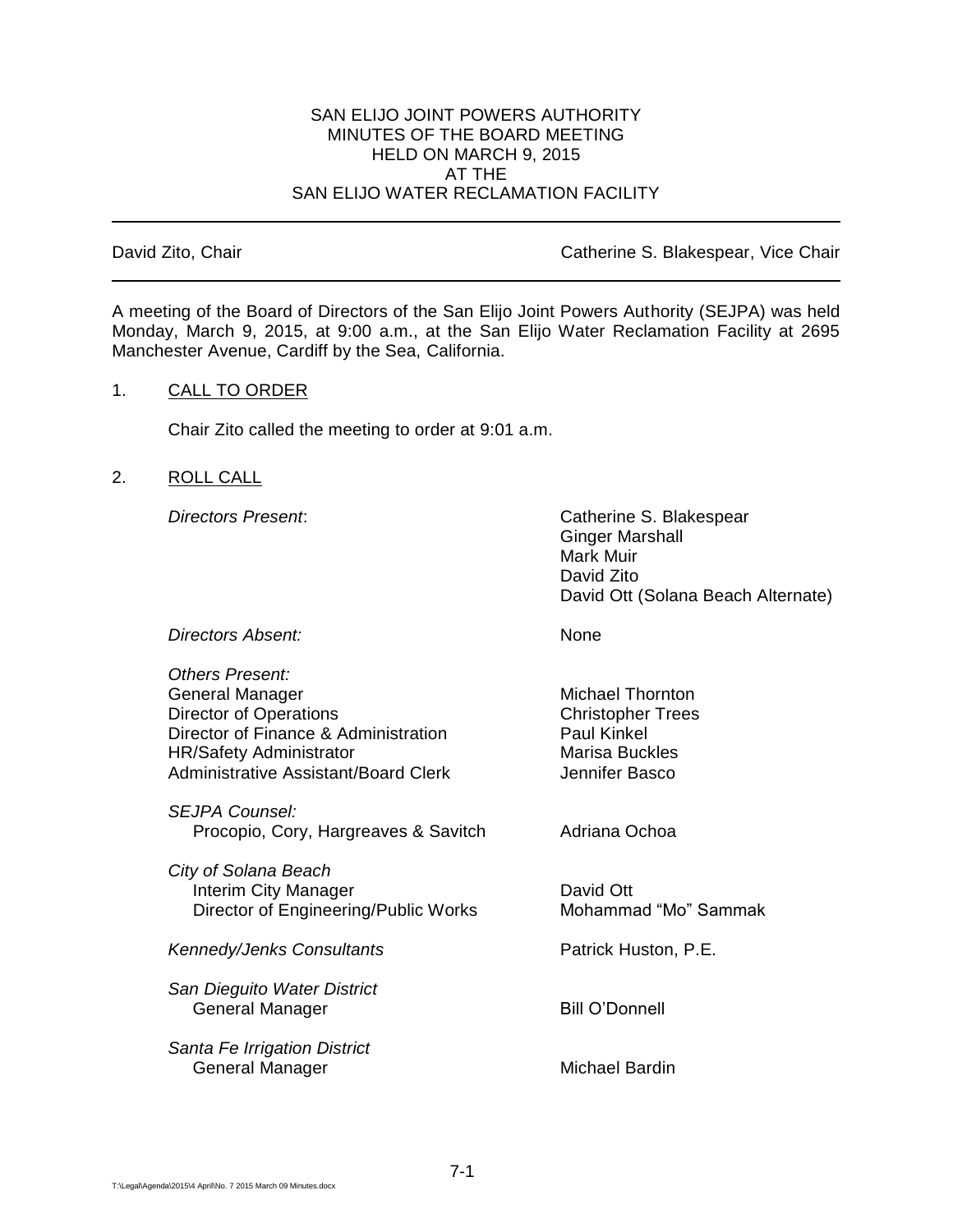## SAN ELIJO JOINT POWERS AUTHORITY MINUTES OF THE BOARD MEETING HELD ON MARCH 9, 2015 AT THE SAN ELIJO WATER RECLAMATION FACILITY

## David Zito, Chair **David Zito, Chair** Catherine S. Blakespear, Vice Chair

A meeting of the Board of Directors of the San Elijo Joint Powers Authority (SEJPA) was held Monday, March 9, 2015, at 9:00 a.m., at the San Elijo Water Reclamation Facility at 2695 Manchester Avenue, Cardiff by the Sea, California.

## 1. CALL TO ORDER

Chair Zito called the meeting to order at 9:01 a.m.

## 2. ROLL CALL

*Directors Present*: Catherine S. Blakespear Ginger Marshall Mark Muir David Zito David Ott (Solana Beach Alternate)

**Directors Absent:** None

| Others Present:<br>General Manager<br><b>Director of Operations</b><br>Director of Finance & Administration<br><b>HR/Safety Administrator</b><br>Administrative Assistant/Board Clerk | <b>Michael Thornton</b><br><b>Christopher Trees</b><br><b>Paul Kinkel</b><br><b>Marisa Buckles</b><br>Jennifer Basco |
|---------------------------------------------------------------------------------------------------------------------------------------------------------------------------------------|----------------------------------------------------------------------------------------------------------------------|
| SEJPA Counsel:<br>Procopio, Cory, Hargreaves & Savitch                                                                                                                                | Adriana Ochoa                                                                                                        |
| City of Solana Beach<br>Interim City Manager<br>Director of Engineering/Public Works                                                                                                  | David Ott<br>Mohammad "Mo" Sammak                                                                                    |
| <b>Kennedy/Jenks Consultants</b>                                                                                                                                                      | Patrick Huston, P.E.                                                                                                 |
| San Dieguito Water District<br>General Manager                                                                                                                                        | <b>Bill O'Donnell</b>                                                                                                |
| Santa Fe Irrigation District                                                                                                                                                          |                                                                                                                      |

General Manager **Michael Bardin**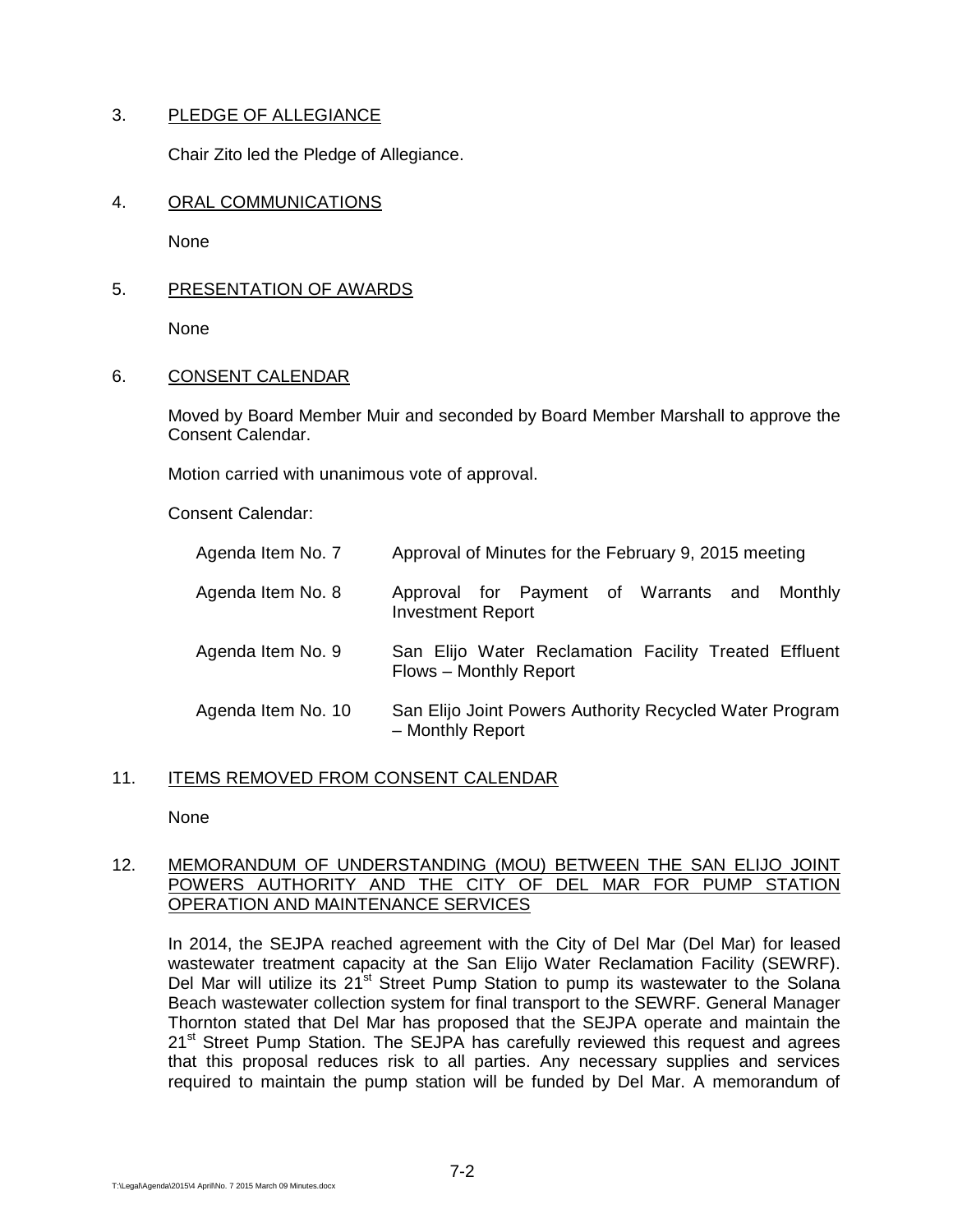# 3. PLEDGE OF ALLEGIANCE

Chair Zito led the Pledge of Allegiance.

# 4. ORAL COMMUNICATIONS

None

# 5. PRESENTATION OF AWARDS

None

# 6. CONSENT CALENDAR

Moved by Board Member Muir and seconded by Board Member Marshall to approve the Consent Calendar.

Motion carried with unanimous vote of approval.

Consent Calendar:

| Agenda Item No. 7  | Approval of Minutes for the February 9, 2015 meeting                            |
|--------------------|---------------------------------------------------------------------------------|
| Agenda Item No. 8  | Approval for Payment of Warrants and<br>Monthly<br><b>Investment Report</b>     |
| Agenda Item No. 9  | San Elijo Water Reclamation Facility Treated Effluent<br>Flows - Monthly Report |
| Agenda Item No. 10 | San Elijo Joint Powers Authority Recycled Water Program<br>- Monthly Report     |

# 11. ITEMS REMOVED FROM CONSENT CALENDAR

None

# 12. MEMORANDUM OF UNDERSTANDING (MOU) BETWEEN THE SAN ELIJO JOINT POWERS AUTHORITY AND THE CITY OF DEL MAR FOR PUMP STATION OPERATION AND MAINTENANCE SERVICES

In 2014, the SEJPA reached agreement with the City of Del Mar (Del Mar) for leased wastewater treatment capacity at the San Elijo Water Reclamation Facility (SEWRF). Del Mar will utilize its 21<sup>st</sup> Street Pump Station to pump its wastewater to the Solana Beach wastewater collection system for final transport to the SEWRF. General Manager Thornton stated that Del Mar has proposed that the SEJPA operate and maintain the 21<sup>st</sup> Street Pump Station. The SEJPA has carefully reviewed this request and agrees that this proposal reduces risk to all parties. Any necessary supplies and services required to maintain the pump station will be funded by Del Mar. A memorandum of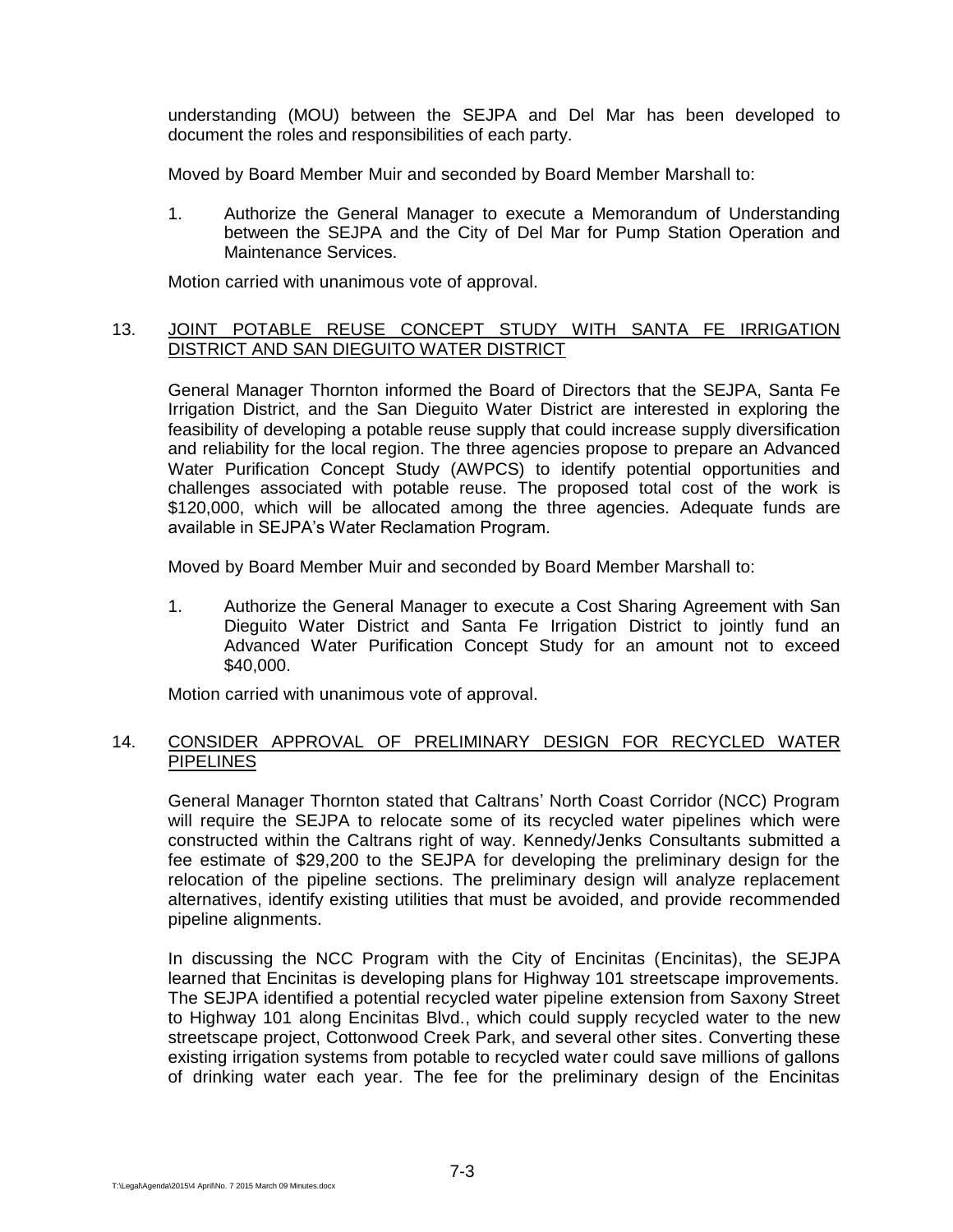understanding (MOU) between the SEJPA and Del Mar has been developed to document the roles and responsibilities of each party.

Moved by Board Member Muir and seconded by Board Member Marshall to:

1. Authorize the General Manager to execute a Memorandum of Understanding between the SEJPA and the City of Del Mar for Pump Station Operation and Maintenance Services.

Motion carried with unanimous vote of approval.

## 13. JOINT POTABLE REUSE CONCEPT STUDY WITH SANTA FE IRRIGATION DISTRICT AND SAN DIEGUITO WATER DISTRICT

General Manager Thornton informed the Board of Directors that the SEJPA, Santa Fe Irrigation District, and the San Dieguito Water District are interested in exploring the feasibility of developing a potable reuse supply that could increase supply diversification and reliability for the local region. The three agencies propose to prepare an Advanced Water Purification Concept Study (AWPCS) to identify potential opportunities and challenges associated with potable reuse. The proposed total cost of the work is \$120,000, which will be allocated among the three agencies. Adequate funds are available in SEJPA's Water Reclamation Program.

Moved by Board Member Muir and seconded by Board Member Marshall to:

1. Authorize the General Manager to execute a Cost Sharing Agreement with San Dieguito Water District and Santa Fe Irrigation District to jointly fund an Advanced Water Purification Concept Study for an amount not to exceed \$40,000.

Motion carried with unanimous vote of approval.

## 14. CONSIDER APPROVAL OF PRELIMINARY DESIGN FOR RECYCLED WATER **PIPELINES**

General Manager Thornton stated that Caltrans' North Coast Corridor (NCC) Program will require the SEJPA to relocate some of its recycled water pipelines which were constructed within the Caltrans right of way. Kennedy/Jenks Consultants submitted a fee estimate of \$29,200 to the SEJPA for developing the preliminary design for the relocation of the pipeline sections. The preliminary design will analyze replacement alternatives, identify existing utilities that must be avoided, and provide recommended pipeline alignments.

In discussing the NCC Program with the City of Encinitas (Encinitas), the SEJPA learned that Encinitas is developing plans for Highway 101 streetscape improvements. The SEJPA identified a potential recycled water pipeline extension from Saxony Street to Highway 101 along Encinitas Blvd., which could supply recycled water to the new streetscape project, Cottonwood Creek Park, and several other sites. Converting these existing irrigation systems from potable to recycled water could save millions of gallons of drinking water each year. The fee for the preliminary design of the Encinitas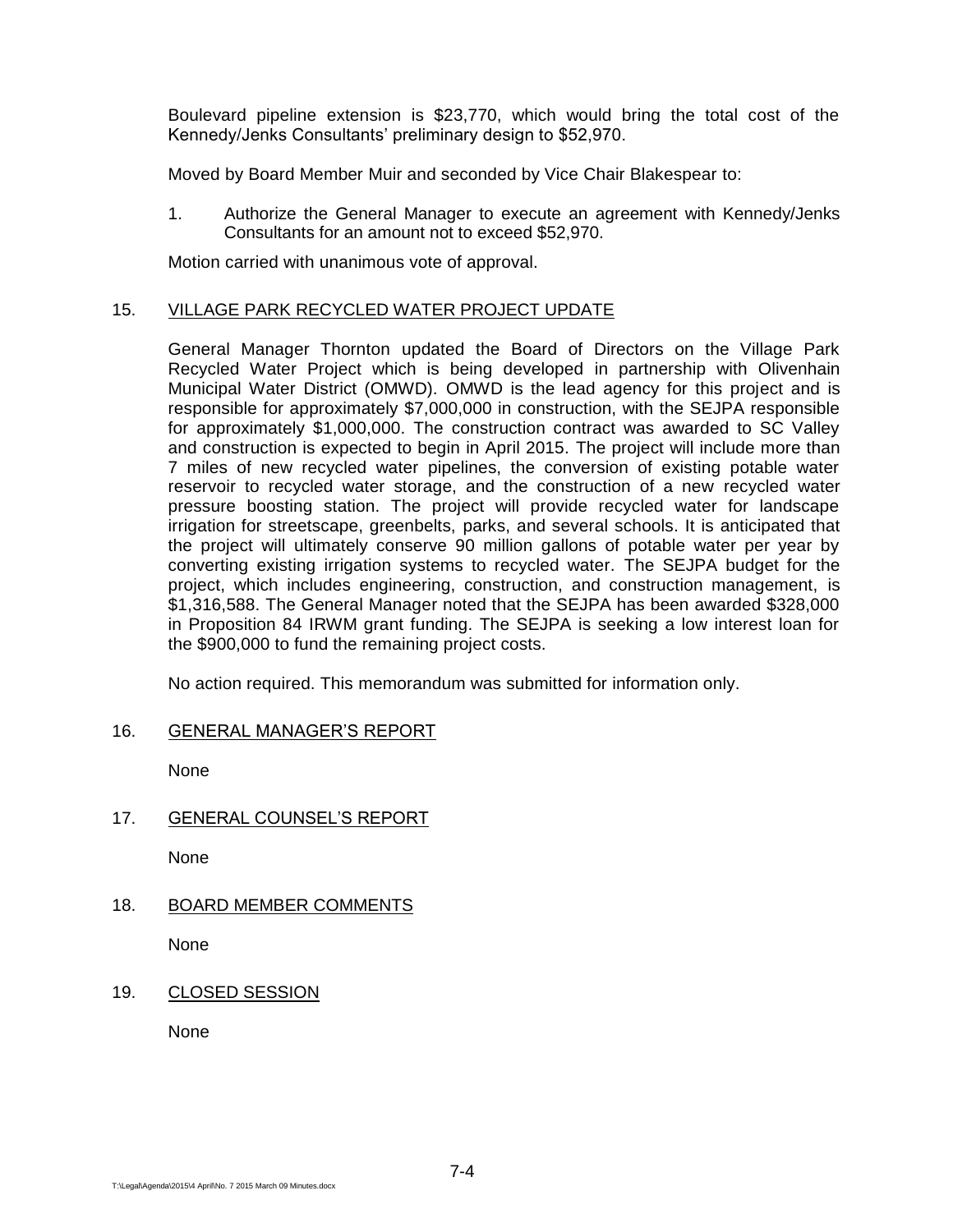Boulevard pipeline extension is \$23,770, which would bring the total cost of the Kennedy/Jenks Consultants' preliminary design to \$52,970.

Moved by Board Member Muir and seconded by Vice Chair Blakespear to:

1. Authorize the General Manager to execute an agreement with Kennedy/Jenks Consultants for an amount not to exceed \$52,970.

Motion carried with unanimous vote of approval.

## 15. VILLAGE PARK RECYCLED WATER PROJECT UPDATE

General Manager Thornton updated the Board of Directors on the Village Park Recycled Water Project which is being developed in partnership with Olivenhain Municipal Water District (OMWD). OMWD is the lead agency for this project and is responsible for approximately \$7,000,000 in construction, with the SEJPA responsible for approximately \$1,000,000. The construction contract was awarded to SC Valley and construction is expected to begin in April 2015. The project will include more than 7 miles of new recycled water pipelines, the conversion of existing potable water reservoir to recycled water storage, and the construction of a new recycled water pressure boosting station. The project will provide recycled water for landscape irrigation for streetscape, greenbelts, parks, and several schools. It is anticipated that the project will ultimately conserve 90 million gallons of potable water per year by converting existing irrigation systems to recycled water. The SEJPA budget for the project, which includes engineering, construction, and construction management, is \$1,316,588. The General Manager noted that the SEJPA has been awarded \$328,000 in Proposition 84 IRWM grant funding. The SEJPA is seeking a low interest loan for the \$900,000 to fund the remaining project costs.

No action required. This memorandum was submitted for information only.

# 16. GENERAL MANAGER'S REPORT

None

17. GENERAL COUNSEL'S REPORT

None

# 18. BOARD MEMBER COMMENTS

None

19. CLOSED SESSION

None